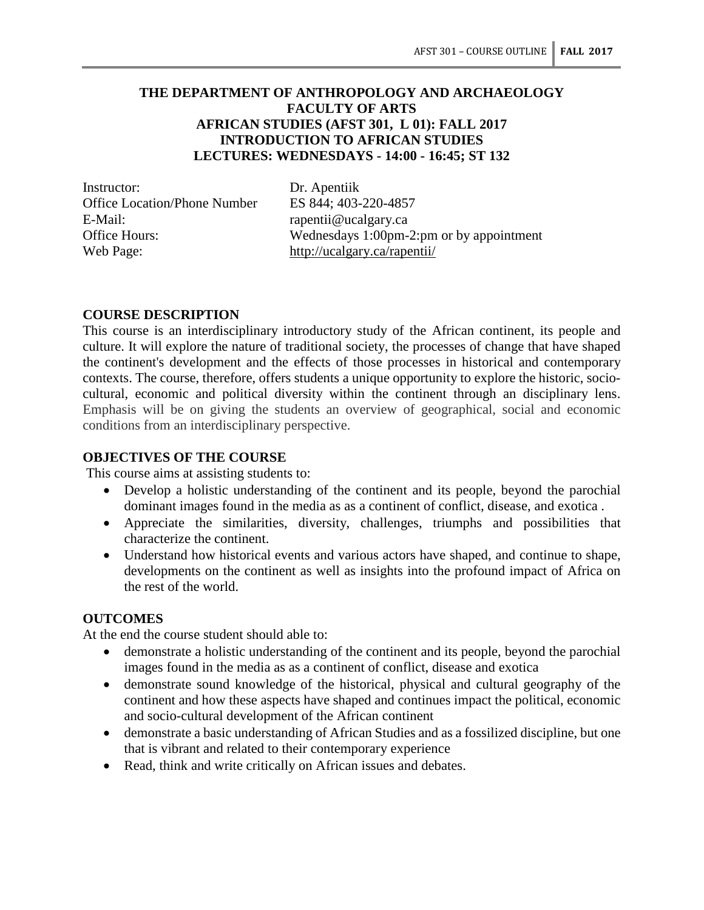# **THE DEPARTMENT OF ANTHROPOLOGY AND ARCHAEOLOGY FACULTY OF ARTS AFRICAN STUDIES (AFST 301, L 01): FALL 2017 INTRODUCTION TO AFRICAN STUDIES LECTURES: WEDNESDAYS - 14:00 - 16:45; ST 132**

Instructor: Dr. Apentiik<br>Office Location/Phone Number ES 844: 403-220-4857 Office Location/Phone Number E-Mail: rapentii@ucalgary.ca Web Page: http://ucalgary.ca/rapentii/

Office Hours: Wednesdays 1:00pm-2:pm or by appointment

#### **COURSE DESCRIPTION**

This course is an interdisciplinary introductory study of the African continent, its people and culture. It will explore the nature of traditional society, the processes of change that have shaped the continent's development and the effects of those processes in historical and contemporary contexts. The course, therefore, offers students a unique opportunity to explore the historic, sociocultural, economic and political diversity within the continent through an disciplinary lens. Emphasis will be on giving the students an overview of geographical, social and economic conditions from an interdisciplinary perspective.

#### **OBJECTIVES OF THE COURSE**

This course aims at assisting students to:

- Develop a holistic understanding of the continent and its people, beyond the parochial dominant images found in the media as as a continent of conflict, disease, and exotica .
- Appreciate the similarities, diversity, challenges, triumphs and possibilities that characterize the continent.
- Understand how historical events and various actors have shaped, and continue to shape, developments on the continent as well as insights into the profound impact of Africa on the rest of the world.

#### **OUTCOMES**

At the end the course student should able to:

- demonstrate a holistic understanding of the continent and its people, beyond the parochial images found in the media as as a continent of conflict, disease and exotica
- demonstrate sound knowledge of the historical, physical and cultural geography of the continent and how these aspects have shaped and continues impact the political, economic and socio-cultural development of the African continent
- demonstrate a basic understanding of African Studies and as a fossilized discipline, but one that is vibrant and related to their contemporary experience
- Read, think and write critically on African issues and debates.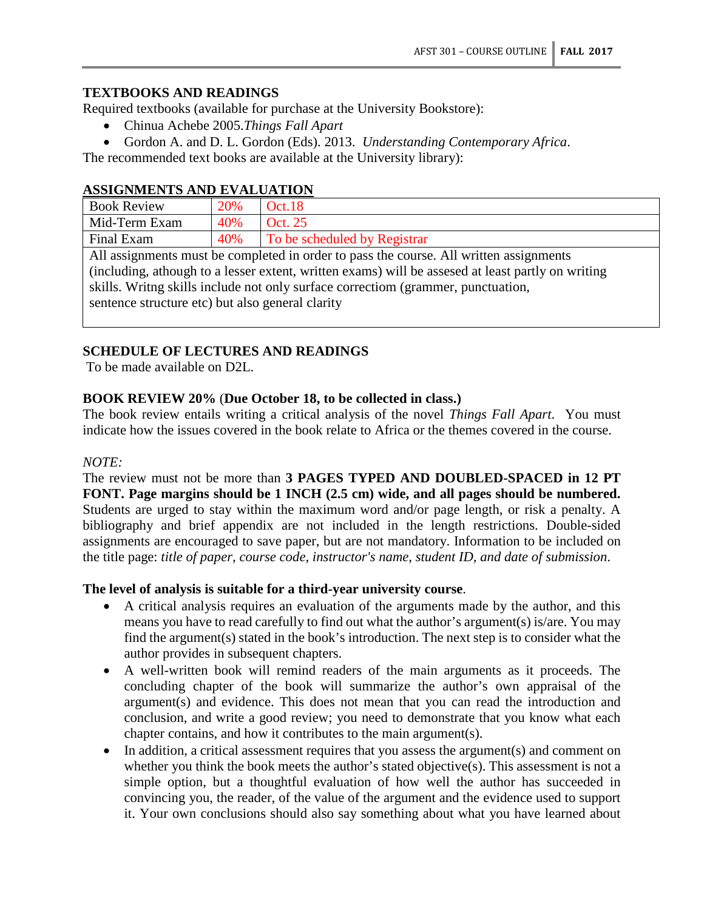## **TEXTBOOKS AND READINGS**

Required textbooks (available for purchase at the University Bookstore):

- Chinua Achebe 2005.*Things Fall Apart*
- Gordon A. and D. L. Gordon (Eds). 2013. *Understanding Contemporary Africa*.

The recommended text books are available at the University library):

#### **ASSIGNMENTS AND EVALUATION**

| <b>Book Review</b>                                                                                 | 20% | <b>Oct.18</b>                |  |
|----------------------------------------------------------------------------------------------------|-----|------------------------------|--|
| Mid-Term Exam                                                                                      | 40% | Oct. 25                      |  |
| Final Exam                                                                                         | 40% | To be scheduled by Registrar |  |
| All assignments must be completed in order to pass the course. All written assignments             |     |                              |  |
| (including, athough to a lesser extent, written exams) will be assessed at least partly on writing |     |                              |  |
| skills. Writing skills include not only surface correctiom (grammer, punctuation,                  |     |                              |  |

sentence structure etc) but also general clarity

# **SCHEDULE OF LECTURES AND READINGS**

To be made available on D2L.

# **BOOK REVIEW 20%** (**Due October 18, to be collected in class.)**

The book review entails writing a critical analysis of the novel *Things Fall Apart*. You must indicate how the issues covered in the book relate to Africa or the themes covered in the course.

#### *NOTE:*

The review must not be more than **3 PAGES TYPED AND DOUBLED-SPACED in 12 PT FONT. Page margins should be 1 INCH (2.5 cm) wide, and all pages should be numbered.** Students are urged to stay within the maximum word and/or page length, or risk a penalty. A bibliography and brief appendix are not included in the length restrictions. Double-sided assignments are encouraged to save paper, but are not mandatory. Information to be included on the title page: *title of paper, course code, instructor's name, student ID, and date of submission*.

## **The level of analysis is suitable for a third-year university course**.

- A critical analysis requires an evaluation of the arguments made by the author, and this means you have to read carefully to find out what the author's argument(s) is/are. You may find the argument(s) stated in the book's introduction. The next step is to consider what the author provides in subsequent chapters.
- A well-written book will remind readers of the main arguments as it proceeds. The concluding chapter of the book will summarize the author's own appraisal of the argument(s) and evidence. This does not mean that you can read the introduction and conclusion, and write a good review; you need to demonstrate that you know what each chapter contains, and how it contributes to the main argument(s).
- In addition, a critical assessment requires that you assess the argument(s) and comment on whether you think the book meets the author's stated objective(s). This assessment is not a simple option, but a thoughtful evaluation of how well the author has succeeded in convincing you, the reader, of the value of the argument and the evidence used to support it. Your own conclusions should also say something about what you have learned about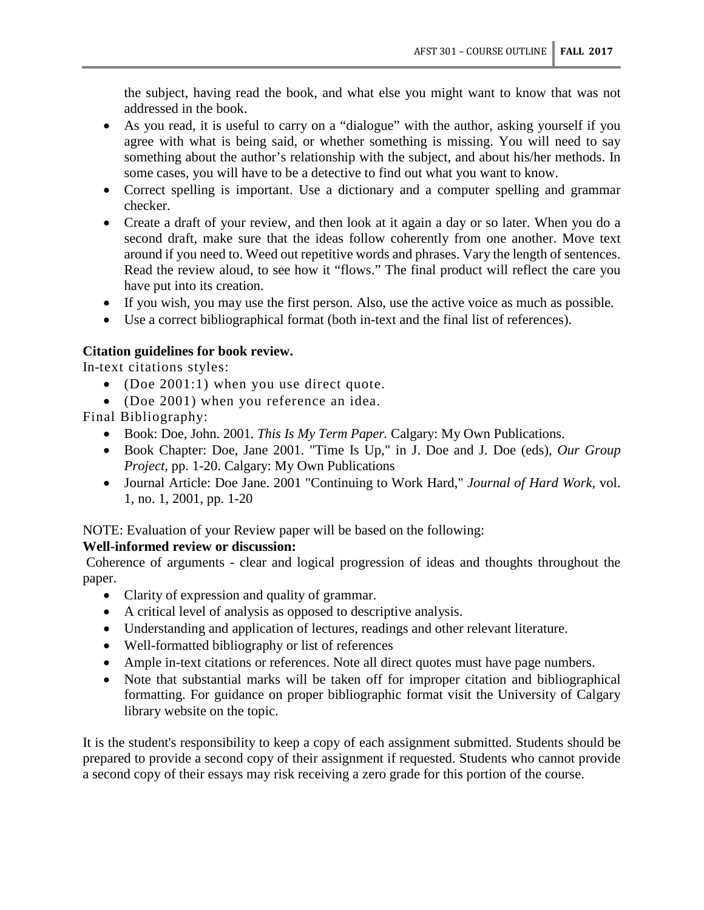the subject, having read the book, and what else you might want to know that was not addressed in the book.

- As you read, it is useful to carry on a "dialogue" with the author, asking yourself if you agree with what is being said, or whether something is missing. You will need to say something about the author's relationship with the subject, and about his/her methods. In some cases, you will have to be a detective to find out what you want to know.
- Correct spelling is important. Use a dictionary and a computer spelling and grammar checker.
- Create a draft of your review, and then look at it again a day or so later. When you do a second draft, make sure that the ideas follow coherently from one another. Move text around if you need to. Weed out repetitive words and phrases. Vary the length of sentences. Read the review aloud, to see how it "flows." The final product will reflect the care you have put into its creation.
- If you wish, you may use the first person. Also, use the active voice as much as possible.
- Use a correct bibliographical format (both in-text and the final list of references).

# **Citation guidelines for book review.**

In-text citations styles:

- (Doe 2001:1) when you use direct quote.
- (Doe 2001) when you reference an idea.

Final Bibliography:

- Book: Doe, John. 2001. *This Is My Term Paper.* Calgary: My Own Publications.
- Book Chapter: Doe, Jane 2001. "Time Is Up," in J. Doe and J. Doe (eds), *Our Group Project,* pp. 1-20. Calgary: My Own Publications
- Journal Article: Doe Jane. 2001 "Continuing to Work Hard," *Journal of Hard Work,* vol. 1, no. 1, 2001, pp. 1-20

NOTE: Evaluation of your Review paper will be based on the following:

## **Well-informed review or discussion:**

Coherence of arguments - clear and logical progression of ideas and thoughts throughout the paper.

- Clarity of expression and quality of grammar.
- A critical level of analysis as opposed to descriptive analysis.
- Understanding and application of lectures, readings and other relevant literature.
- Well-formatted bibliography or list of references
- Ample in-text citations or references. Note all direct quotes must have page numbers.
- Note that substantial marks will be taken off for improper citation and bibliographical formatting. For guidance on proper bibliographic format visit the University of Calgary library website on the topic.

It is the student's responsibility to keep a copy of each assignment submitted. Students should be prepared to provide a second copy of their assignment if requested. Students who cannot provide a second copy of their essays may risk receiving a zero grade for this portion of the course.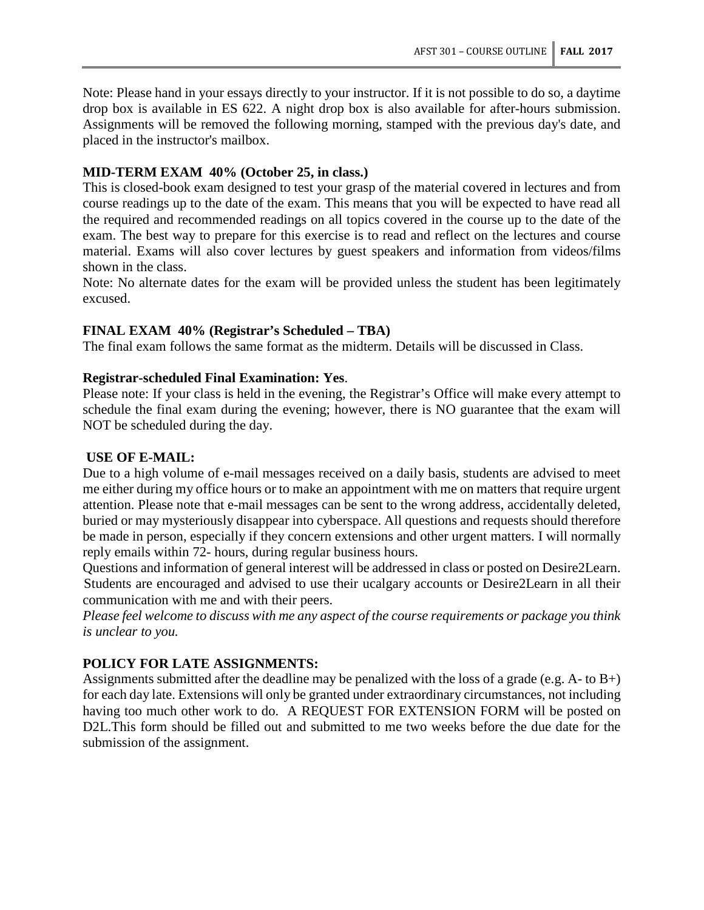Note: Please hand in your essays directly to your instructor. If it is not possible to do so, a daytime drop box is available in ES 622. A night drop box is also available for after-hours submission. Assignments will be removed the following morning, stamped with the previous day's date, and placed in the instructor's mailbox.

## **MID-TERM EXAM 40% (October 25, in class.)**

This is closed-book exam designed to test your grasp of the material covered in lectures and from course readings up to the date of the exam. This means that you will be expected to have read all the required and recommended readings on all topics covered in the course up to the date of the exam. The best way to prepare for this exercise is to read and reflect on the lectures and course material. Exams will also cover lectures by guest speakers and information from videos/films shown in the class.

Note: No alternate dates for the exam will be provided unless the student has been legitimately excused.

## **FINAL EXAM 40% (Registrar's Scheduled – TBA)**

The final exam follows the same format as the midterm. Details will be discussed in Class.

## **Registrar-scheduled Final Examination: Yes**.

Please note: If your class is held in the evening, the Registrar's Office will make every attempt to schedule the final exam during the evening; however, there is NO guarantee that the exam will NOT be scheduled during the day.

#### **USE OF E-MAIL:**

Due to a high volume of e-mail messages received on a daily basis, students are advised to meet me either during my office hours or to make an appointment with me on matters that require urgent attention. Please note that e-mail messages can be sent to the wrong address, accidentally deleted, buried or may mysteriously disappear into cyberspace. All questions and requests should therefore be made in person, especially if they concern extensions and other urgent matters. I will normally reply emails within 72- hours, during regular business hours.

Questions and information of general interest will be addressed in class or posted on Desire2Learn. Students are encouraged and advised to use their ucalgary accounts or Desire2Learn in all their communication with me and with their peers.

*Please feel welcome to discuss with me any aspect of the course requirements or package you think is unclear to you.*

## **POLICY FOR LATE ASSIGNMENTS:**

Assignments submitted after the deadline may be penalized with the loss of a grade (e.g. A- to B+) for each day late. Extensions will only be granted under extraordinary circumstances, not including having too much other work to do. A REQUEST FOR EXTENSION FORM will be posted on D2L.This form should be filled out and submitted to me two weeks before the due date for the submission of the assignment.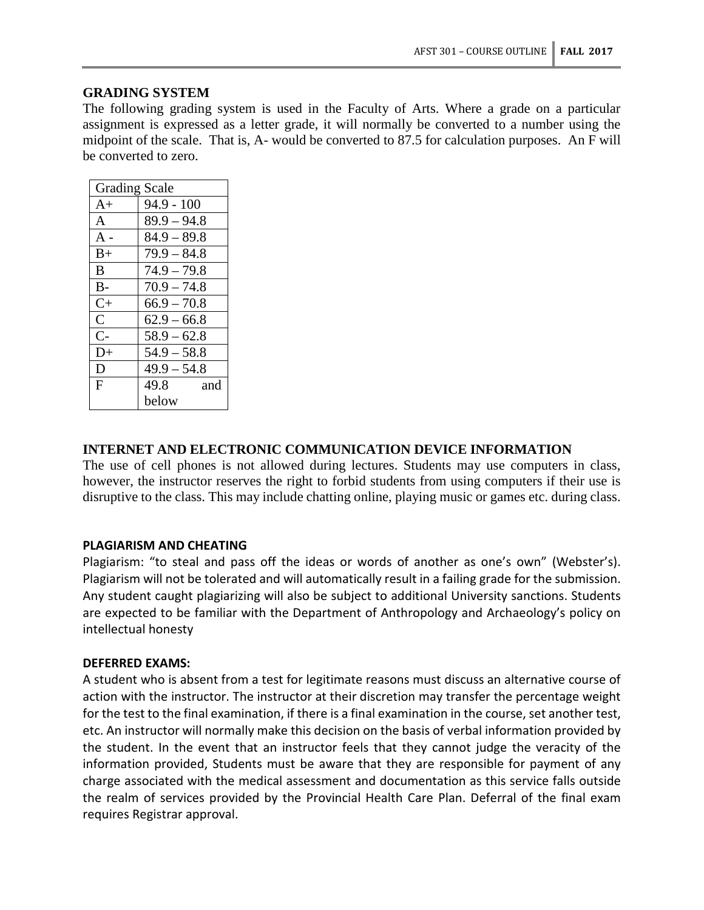## **GRADING SYSTEM**

The following grading system is used in the Faculty of Arts. Where a grade on a particular assignment is expressed as a letter grade, it will normally be converted to a number using the midpoint of the scale. That is, A- would be converted to 87.5 for calculation purposes. An F will be converted to zero.

| <b>Grading Scale</b> |               |  |
|----------------------|---------------|--|
| $A+$                 | $94.9 - 100$  |  |
| A                    | $89.9 - 94.8$ |  |
| $A -$                | $84.9 - 89.8$ |  |
| $B+$                 | $79.9 - 84.8$ |  |
| B                    | $74.9 - 79.8$ |  |
| $B -$                | $70.9 - 74.8$ |  |
| $C+$                 | $66.9 - 70.8$ |  |
| $\mathsf{C}$         | $62.9 - 66.8$ |  |
| $C-$                 | $58.9 - 62.8$ |  |
| D+                   | $54.9 - 58.8$ |  |
| D                    | $49.9 - 54.8$ |  |
| F                    | 49.8<br>and   |  |
|                      | below         |  |

#### **INTERNET AND ELECTRONIC COMMUNICATION DEVICE INFORMATION**

The use of cell phones is not allowed during lectures. Students may use computers in class, however, the instructor reserves the right to forbid students from using computers if their use is disruptive to the class. This may include chatting online, playing music or games etc. during class.

#### **PLAGIARISM AND CHEATING**

Plagiarism: "to steal and pass off the ideas or words of another as one's own" (Webster's). Plagiarism will not be tolerated and will automatically result in a failing grade for the submission. Any student caught plagiarizing will also be subject to additional University sanctions. Students are expected to be familiar with the Department of Anthropology and Archaeology's policy on intellectual honesty

#### **DEFERRED EXAMS:**

A student who is absent from a test for legitimate reasons must discuss an alternative course of action with the instructor. The instructor at their discretion may transfer the percentage weight for the test to the final examination, if there is a final examination in the course, set another test, etc. An instructor will normally make this decision on the basis of verbal information provided by the student. In the event that an instructor feels that they cannot judge the veracity of the information provided, Students must be aware that they are responsible for payment of any charge associated with the medical assessment and documentation as this service falls outside the realm of services provided by the Provincial Health Care Plan. Deferral of the final exam requires Registrar approval.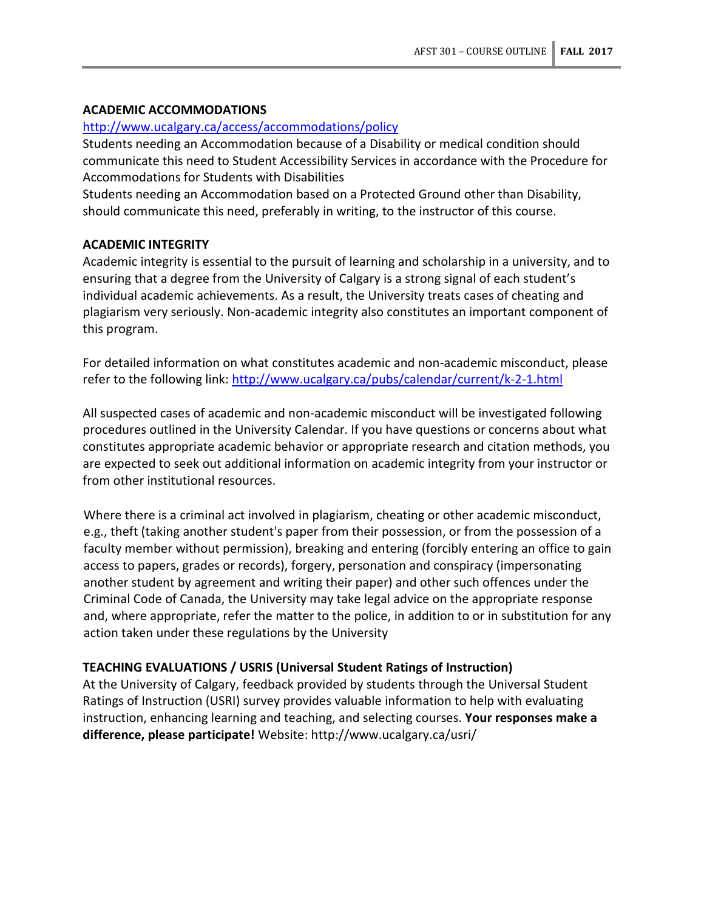# **ACADEMIC ACCOMMODATIONS**

## <http://www.ucalgary.ca/access/accommodations/policy>

Students needing an Accommodation because of a Disability or medical condition should communicate this need to Student Accessibility Services in accordance with the Procedure for Accommodations for Students with Disabilities

Students needing an Accommodation based on a Protected Ground other than Disability, should communicate this need, preferably in writing, to the instructor of this course.

## **ACADEMIC INTEGRITY**

Academic integrity is essential to the pursuit of learning and scholarship in a university, and to ensuring that a degree from the University of Calgary is a strong signal of each student's individual academic achievements. As a result, the University treats cases of cheating and plagiarism very seriously. Non-academic integrity also constitutes an important component of this program.

For detailed information on what constitutes academic and non-academic misconduct, please refer to the following link:<http://www.ucalgary.ca/pubs/calendar/current/k-2-1.html>

All suspected cases of academic and non-academic misconduct will be investigated following procedures outlined in the University Calendar. If you have questions or concerns about what constitutes appropriate academic behavior or appropriate research and citation methods, you are expected to seek out additional information on academic integrity from your instructor or from other institutional resources.

Where there is a criminal act involved in plagiarism, cheating or other academic misconduct, e.g., theft (taking another student's paper from their possession, or from the possession of a faculty member without permission), breaking and entering (forcibly entering an office to gain access to papers, grades or records), forgery, personation and conspiracy (impersonating another student by agreement and writing their paper) and other such offences under the Criminal Code of Canada, the University may take legal advice on the appropriate response and, where appropriate, refer the matter to the police, in addition to or in substitution for any action taken under these regulations by the University

## **TEACHING EVALUATIONS / USRIS (Universal Student Ratings of Instruction)**

At the University of Calgary, feedback provided by students through the Universal Student Ratings of Instruction (USRI) survey provides valuable information to help with evaluating instruction, enhancing learning and teaching, and selecting courses. **Your responses make a difference, please participate!** Website: http://www.ucalgary.ca/usri/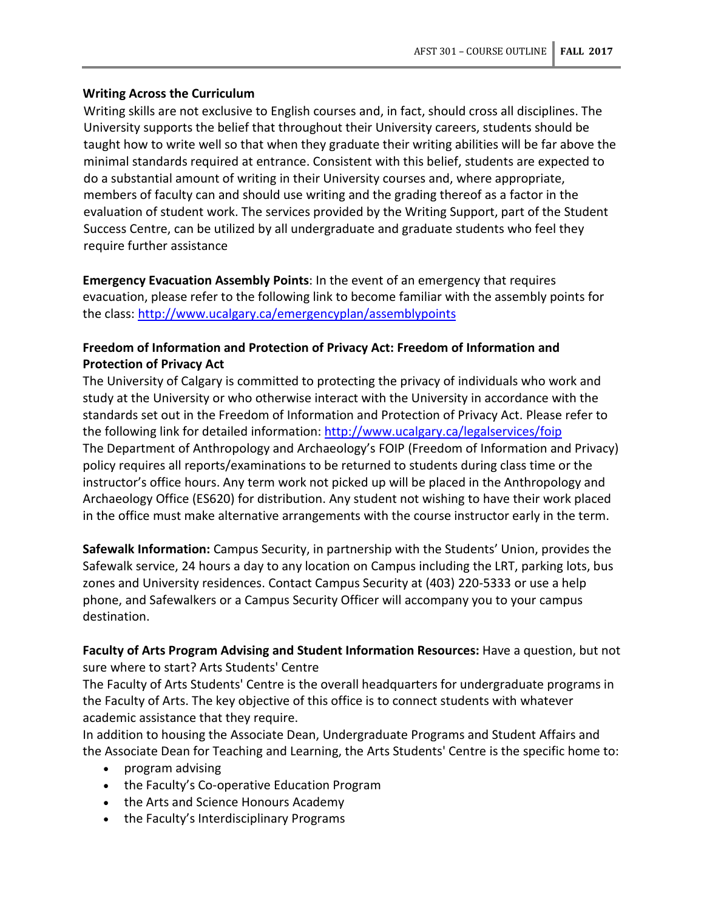# **Writing Across the Curriculum**

Writing skills are not exclusive to English courses and, in fact, should cross all disciplines. The University supports the belief that throughout their University careers, students should be taught how to write well so that when they graduate their writing abilities will be far above the minimal standards required at entrance. Consistent with this belief, students are expected to do a substantial amount of writing in their University courses and, where appropriate, members of faculty can and should use writing and the grading thereof as a factor in the evaluation of student work. The services provided by the Writing Support, part of the Student Success Centre, can be utilized by all undergraduate and graduate students who feel they require further assistance

**Emergency Evacuation Assembly Points**: In the event of an emergency that requires evacuation, please refer to the following link to become familiar with the assembly points for the class:<http://www.ucalgary.ca/emergencyplan/assemblypoints>

# **Freedom of Information and Protection of Privacy Act: Freedom of Information and Protection of Privacy Act**

The University of Calgary is committed to protecting the privacy of individuals who work and study at the University or who otherwise interact with the University in accordance with the standards set out in the Freedom of Information and Protection of Privacy Act. Please refer to the following link for detailed information:<http://www.ucalgary.ca/legalservices/foip> The Department of Anthropology and Archaeology's FOIP (Freedom of Information and Privacy) policy requires all reports/examinations to be returned to students during class time or the instructor's office hours. Any term work not picked up will be placed in the Anthropology and Archaeology Office (ES620) for distribution. Any student not wishing to have their work placed in the office must make alternative arrangements with the course instructor early in the term.

**Safewalk Information:** Campus Security, in partnership with the Students' Union, provides the Safewalk service, 24 hours a day to any location on Campus including the LRT, parking lots, bus zones and University residences. Contact Campus Security at (403) 220-5333 or use a help phone, and Safewalkers or a Campus Security Officer will accompany you to your campus destination.

**Faculty of Arts Program Advising and Student Information Resources:** Have a question, but not sure where to start? Arts Students' Centre

The Faculty of Arts Students' Centre is the overall headquarters for undergraduate programs in the Faculty of Arts. The key objective of this office is to connect students with whatever academic assistance that they require.

In addition to housing the Associate Dean, Undergraduate Programs and Student Affairs and the Associate Dean for Teaching and Learning, the Arts Students' Centre is the specific home to:

- program advising
- the Faculty's Co-operative Education Program
- the Arts and Science Honours Academy
- the Faculty's Interdisciplinary Programs